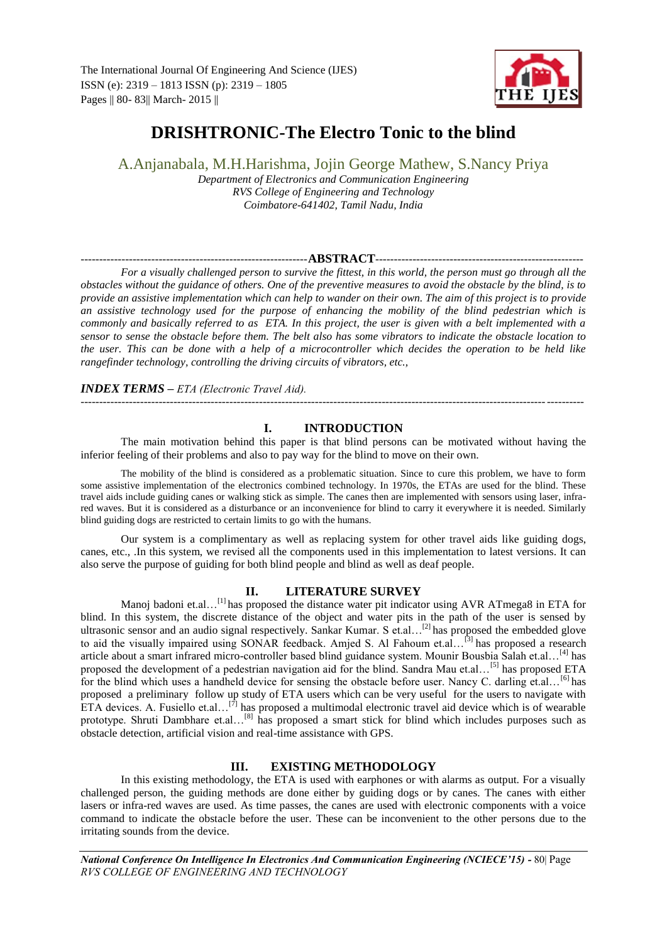

# **DRISHTRONIC-The Electro Tonic to the blind**

A.Anjanabala, M.H.Harishma, Jojin George Mathew, S.Nancy Priya *Department of Electronics and Communication Engineering RVS College of Engineering and Technology*

*Coimbatore-641402, Tamil Nadu, India*

#### -------------------------------------------------------------**ABSTRACT**--------------------------------------------------------

*For a visually challenged person to survive the fittest, in this world, the person must go through all the obstacles without the guidance of others. One of the preventive measures to avoid the obstacle by the blind, is to provide an assistive implementation which can help to wander on their own. The aim of this project is to provide an assistive technology used for the purpose of enhancing the mobility of the blind pedestrian which is commonly and basically referred to as ETA. In this project, the user is given with a belt implemented with a sensor to sense the obstacle before them. The belt also has some vibrators to indicate the obstacle location to the user. This can be done with a help of a microcontroller which decides the operation to be held like rangefinder technology, controlling the driving circuits of vibrators, etc.,* 

## *INDEX TERMS* **–** *ETA (Electronic Travel Aid).*

# ---------------------------------------------------------------------------------------------------------------------------------------

## **I. INTRODUCTION**

The main motivation behind this paper is that blind persons can be motivated without having the inferior feeling of their problems and also to pay way for the blind to move on their own.

The mobility of the blind is considered as a problematic situation. Since to cure this problem, we have to form some assistive implementation of the electronics combined technology. In 1970s, the ETAs are used for the blind. These travel aids include guiding canes or walking stick as simple. The canes then are implemented with sensors using laser, infrared waves. But it is considered as a disturbance or an inconvenience for blind to carry it everywhere it is needed. Similarly blind guiding dogs are restricted to certain limits to go with the humans.

Our system is a complimentary as well as replacing system for other travel aids like guiding dogs, canes, etc., .In this system, we revised all the components used in this implementation to latest versions. It can also serve the purpose of guiding for both blind people and blind as well as deaf people.

## **II. LITERATURE SURVEY**

Manoj badoni et.al...<sup>[1]</sup> has proposed the distance water pit indicator using AVR ATmega8 in ETA for blind. In this system, the discrete distance of the object and water pits in the path of the user is sensed by ultrasonic sensor and an audio signal respectively. Sankar Kumar. S et.al…<sup>[2]</sup> has proposed the embedded glove to aid the visually impaired using SONAR feedback. Amjed S. Al Fahoum et.al…[3] has proposed a research article about a smart infrared micro-controller based blind guidance system. Mounir Bousbia Salah et.al…[4] has proposed the development of a pedestrian navigation aid for the blind. Sandra Mau et.al...<sup>[5]</sup> has proposed ETA for the blind which uses a handheld device for sensing the obstacle before user. Nancy C. darling et.al...<sup>[6]</sup> has proposed a preliminary follow up study of ETA users which can be very useful for the users to navigate with ETA devices. A. Fusiello et.al...<sup>[7]</sup> has proposed a multimodal electronic travel aid device which is of wearable prototype. Shruti Dambhare et.al...<sup>[8]</sup> has proposed a smart stick for blind which includes purposes such as obstacle detection, artificial vision and real-time assistance with GPS.

# **III. EXISTING METHODOLOGY**

In this existing methodology, the ETA is used with earphones or with alarms as output. For a visually challenged person, the guiding methods are done either by guiding dogs or by canes. The canes with either lasers or infra-red waves are used. As time passes, the canes are used with electronic components with a voice command to indicate the obstacle before the user. These can be inconvenient to the other persons due to the irritating sounds from the device.

*National Conference On Intelligence In Electronics And Communication Engineering (NCIECE'15) - 80* Page *RVS COLLEGE OF ENGINEERING AND TECHNOLOGY*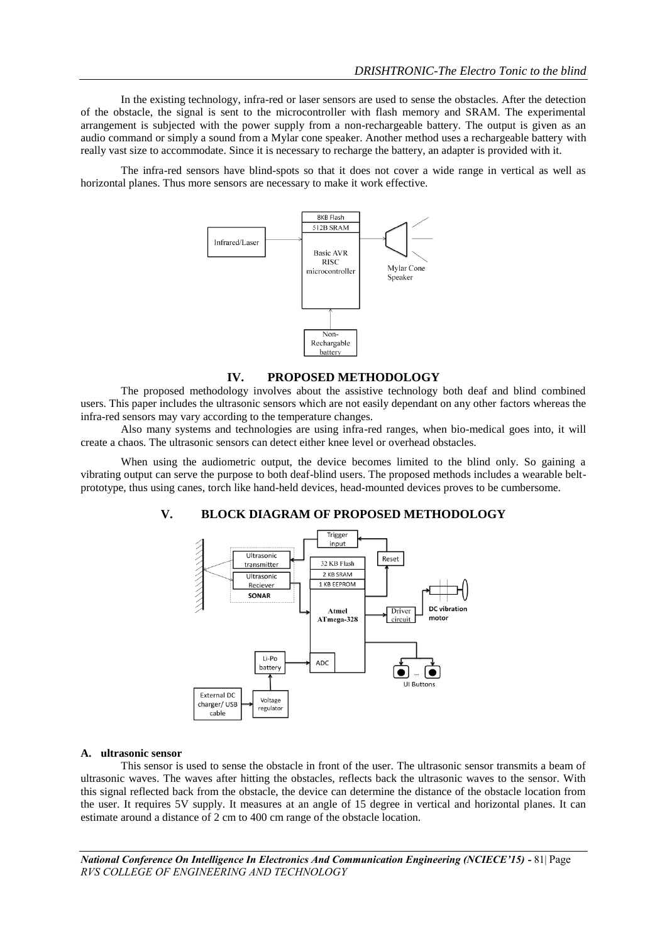In the existing technology, infra-red or laser sensors are used to sense the obstacles. After the detection of the obstacle, the signal is sent to the microcontroller with flash memory and SRAM. The experimental arrangement is subjected with the power supply from a non-rechargeable battery. The output is given as an audio command or simply a sound from a Mylar cone speaker. Another method uses a rechargeable battery with really vast size to accommodate. Since it is necessary to recharge the battery, an adapter is provided with it.

The infra-red sensors have blind-spots so that it does not cover a wide range in vertical as well as horizontal planes. Thus more sensors are necessary to make it work effective.



# **IV. PROPOSED METHODOLOGY**

The proposed methodology involves about the assistive technology both deaf and blind combined users. This paper includes the ultrasonic sensors which are not easily dependant on any other factors whereas the infra-red sensors may vary according to the temperature changes.

Also many systems and technologies are using infra-red ranges, when bio-medical goes into, it will create a chaos. The ultrasonic sensors can detect either knee level or overhead obstacles.

When using the audiometric output, the device becomes limited to the blind only. So gaining a vibrating output can serve the purpose to both deaf-blind users. The proposed methods includes a wearable beltprototype, thus using canes, torch like hand-held devices, head-mounted devices proves to be cumbersome.

#### **V. BLOCK DIAGRAM OF PROPOSED METHODOLOGY**



#### **A. ultrasonic sensor**

This sensor is used to sense the obstacle in front of the user. The ultrasonic sensor transmits a beam of ultrasonic waves. The waves after hitting the obstacles, reflects back the ultrasonic waves to the sensor. With this signal reflected back from the obstacle, the device can determine the distance of the obstacle location from the user. It requires 5V supply. It measures at an angle of 15 degree in vertical and horizontal planes. It can estimate around a distance of 2 cm to 400 cm range of the obstacle location.

*National Conference On Intelligence In Electronics And Communication Engineering (NCIECE'15) - 81*| Page *RVS COLLEGE OF ENGINEERING AND TECHNOLOGY*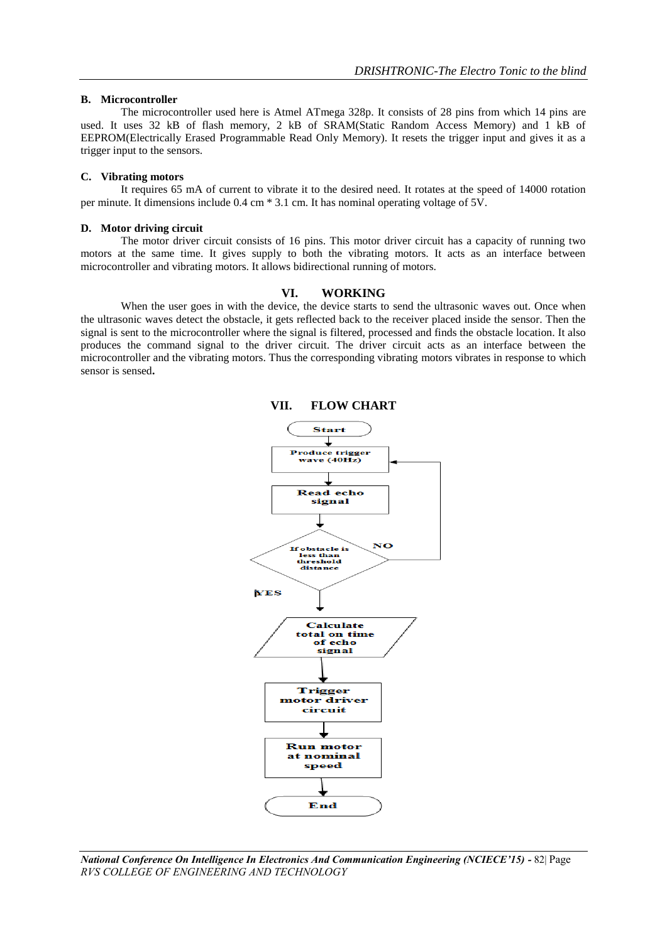#### **B. Microcontroller**

The microcontroller used here is Atmel ATmega 328p. It consists of 28 pins from which 14 pins are used. It uses 32 kB of flash memory, 2 kB of SRAM(Static Random Access Memory) and 1 kB of EEPROM(Electrically Erased Programmable Read Only Memory). It resets the trigger input and gives it as a trigger input to the sensors.

## **C. Vibrating motors**

It requires 65 mA of current to vibrate it to the desired need. It rotates at the speed of 14000 rotation per minute. It dimensions include 0.4 cm \* 3.1 cm. It has nominal operating voltage of 5V.

## **D. Motor driving circuit**

The motor driver circuit consists of 16 pins. This motor driver circuit has a capacity of running two motors at the same time. It gives supply to both the vibrating motors. It acts as an interface between microcontroller and vibrating motors. It allows bidirectional running of motors.

#### **VI. WORKING**

When the user goes in with the device, the device starts to send the ultrasonic waves out. Once when the ultrasonic waves detect the obstacle, it gets reflected back to the receiver placed inside the sensor. Then the signal is sent to the microcontroller where the signal is filtered, processed and finds the obstacle location. It also produces the command signal to the driver circuit. The driver circuit acts as an interface between the microcontroller and the vibrating motors. Thus the corresponding vibrating motors vibrates in response to which sensor is sensed**.** 



*National Conference On Intelligence In Electronics And Communication Engineering (NCIECE'15) - 82*| Page *RVS COLLEGE OF ENGINEERING AND TECHNOLOGY*